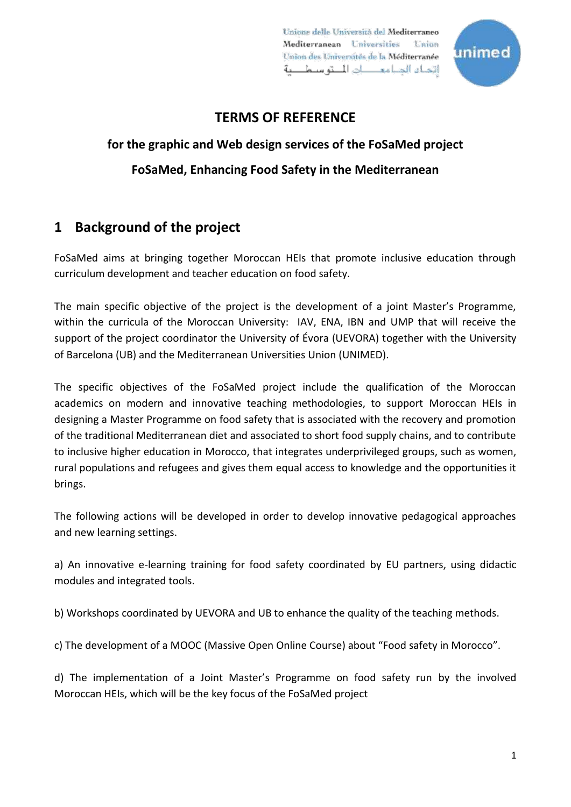Unione delle Università del Mediterraneo Mediterranean Universities **Thursday** Union des Universités de la Méditerranée اتداه الدباء كان المتوسط حة



## **TERMS OF REFERENCE**

# **for the graphic and Web design services of the FoSaMed project FoSaMed, Enhancing Food Safety in the Mediterranean**

# **1 Background of the project**

FoSaMed aims at bringing together Moroccan HEIs that promote inclusive education through curriculum development and teacher education on food safety.

The main specific objective of the project is the development of a joint Master's Programme, within the curricula of the Moroccan University: IAV, ENA, IBN and UMP that will receive the support of the project coordinator the University of Évora (UEVORA) together with the University of Barcelona (UB) and the Mediterranean Universities Union (UNIMED).

The specific objectives of the FoSaMed project include the qualification of the Moroccan academics on modern and innovative teaching methodologies, to support Moroccan HEIs in designing a Master Programme on food safety that is associated with the recovery and promotion of the traditional Mediterranean diet and associated to short food supply chains, and to contribute to inclusive higher education in Morocco, that integrates underprivileged groups, such as women, rural populations and refugees and gives them equal access to knowledge and the opportunities it brings.

The following actions will be developed in order to develop innovative pedagogical approaches and new learning settings.

a) An innovative e-learning training for food safety coordinated by EU partners, using didactic modules and integrated tools.

b) Workshops coordinated by UEVORA and UB to enhance the quality of the teaching methods.

c) The development of a MOOC (Massive Open Online Course) about "Food safety in Morocco".

d) The implementation of a Joint Master's Programme on food safety run by the involved Moroccan HEIs, which will be the key focus of the FoSaMed project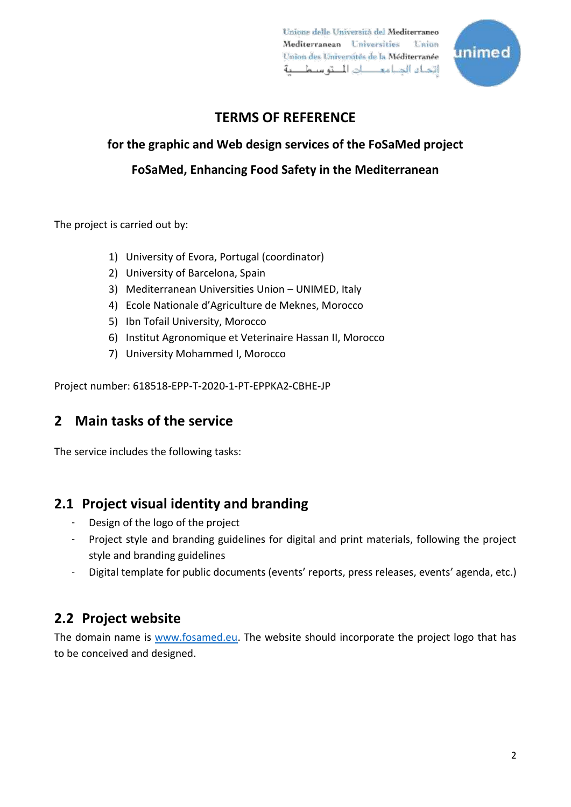Unione delle Università del Mediterraneo Mediterranean Universities **Contact** Union des Universités de la Méditerranée اتحياء الديامع كالطق سيطيعة



# **TERMS OF REFERENCE**

# **for the graphic and Web design services of the FoSaMed project FoSaMed, Enhancing Food Safety in the Mediterranean**

The project is carried out by:

- 1) University of Evora, Portugal (coordinator)
- 2) University of Barcelona, Spain
- 3) Mediterranean Universities Union UNIMED, Italy
- 4) Ecole Nationale d'Agriculture de Meknes, Morocco
- 5) Ibn Tofail University, Morocco
- 6) Institut Agronomique et Veterinaire Hassan II, Morocco
- 7) University Mohammed I, Morocco

Project number: 618518-EPP-T-2020-1-PT-EPPKA2-CBHE-JP

## **2 Main tasks of the service**

The service includes the following tasks:

## **2.1 Project visual identity and branding**

- Design of the logo of the project
- Project style and branding guidelines for digital and print materials, following the project style and branding guidelines
- Digital template for public documents (events' reports, press releases, events' agenda, etc.)

## **2.2 Project website**

The domain name is [www.fosamed.eu.](http://www.fosamed.eu/) The website should incorporate the project logo that has to be conceived and designed.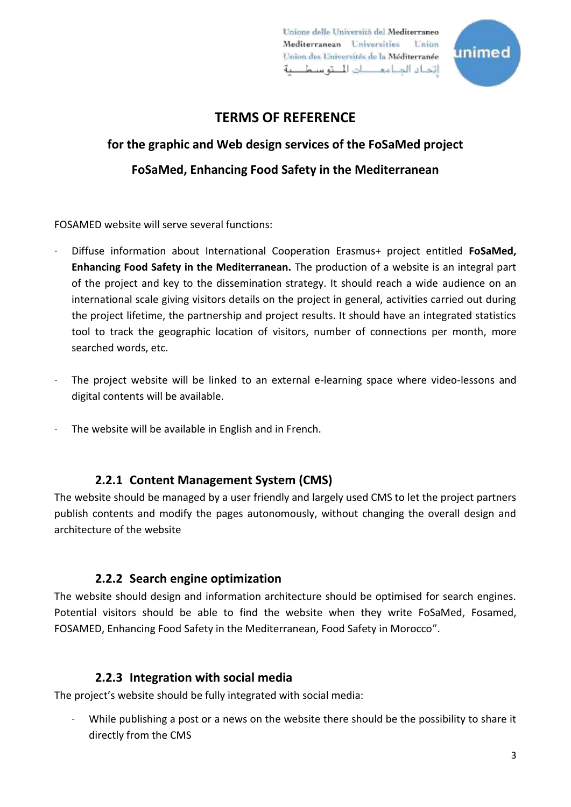Unione delle Università del Mediterraneo Mediterranean Universities Toman. Union des Universités de la Méditerranée اتداء الديامع حات المتوسط حة



## **TERMS OF REFERENCE**

# **for the graphic and Web design services of the FoSaMed project FoSaMed, Enhancing Food Safety in the Mediterranean**

FOSAMED website will serve several functions:

- Diffuse information about International Cooperation Erasmus+ project entitled **FoSaMed, Enhancing Food Safety in the Mediterranean.** The production of a website is an integral part of the project and key to the dissemination strategy. It should reach a wide audience on an international scale giving visitors details on the project in general, activities carried out during the project lifetime, the partnership and project results. It should have an integrated statistics tool to track the geographic location of visitors, number of connections per month, more searched words, etc.
- The project website will be linked to an external e-learning space where video-lessons and digital contents will be available.
- The website will be available in English and in French.

#### **2.2.1 Content Management System (CMS)**

The website should be managed by a user friendly and largely used CMS to let the project partners publish contents and modify the pages autonomously, without changing the overall design and architecture of the website

#### **2.2.2 Search engine optimization**

The website should design and information architecture should be optimised for search engines. Potential visitors should be able to find the website when they write FoSaMed, Fosamed, FOSAMED, Enhancing Food Safety in the Mediterranean, Food Safety in Morocco".

#### **2.2.3 Integration with social media**

The project's website should be fully integrated with social media:

While publishing a post or a news on the website there should be the possibility to share it directly from the CMS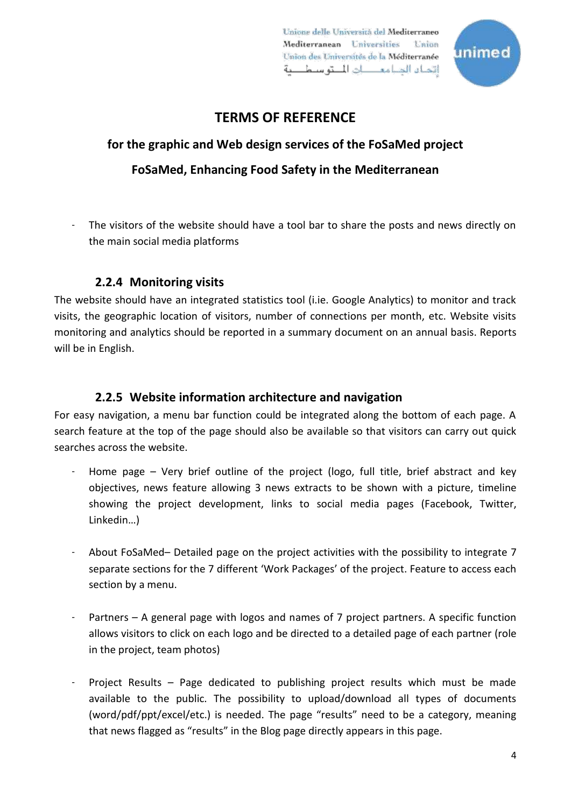Unione delle Università del Mediterraneo Mediterranean Universities Toman. Union des Universités de la Méditerranée اتداه الدامع ال المتوسط بة



## **TERMS OF REFERENCE**

# **for the graphic and Web design services of the FoSaMed project FoSaMed, Enhancing Food Safety in the Mediterranean**

The visitors of the website should have a tool bar to share the posts and news directly on the main social media platforms

### **2.2.4 Monitoring visits**

The website should have an integrated statistics tool (i.ie. Google Analytics) to monitor and track visits, the geographic location of visitors, number of connections per month, etc. Website visits monitoring and analytics should be reported in a summary document on an annual basis. Reports will be in English.

#### **2.2.5 Website information architecture and navigation**

For easy navigation, a menu bar function could be integrated along the bottom of each page. A search feature at the top of the page should also be available so that visitors can carry out quick searches across the website.

- Home page  $-$  Very brief outline of the project (logo, full title, brief abstract and key objectives, news feature allowing 3 news extracts to be shown with a picture, timeline showing the project development, links to social media pages (Facebook, Twitter, Linkedin…)
- About FoSaMed– Detailed page on the project activities with the possibility to integrate 7 separate sections for the 7 different 'Work Packages' of the project. Feature to access each section by a menu.
- Partners A general page with logos and names of 7 project partners. A specific function allows visitors to click on each logo and be directed to a detailed page of each partner (role in the project, team photos)
- Project Results Page dedicated to publishing project results which must be made available to the public. The possibility to upload/download all types of documents (word/pdf/ppt/excel/etc.) is needed. The page "results" need to be a category, meaning that news flagged as "results" in the Blog page directly appears in this page.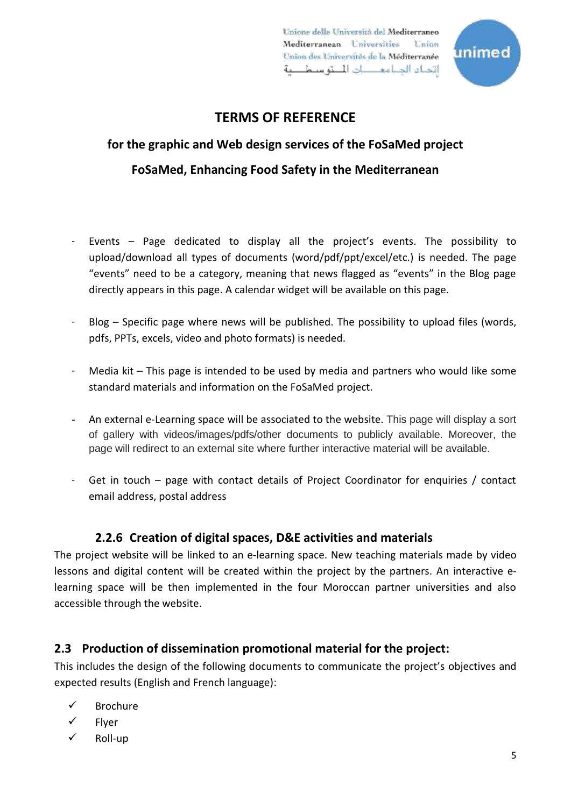Unione delle Università del Mediterraneo Mediterranean Universities **Contact** Union des Universités de la Méditerranée اتداء الدامع ال المتوسط بة



## **TERMS OF REFERENCE**

# **for the graphic and Web design services of the FoSaMed project FoSaMed, Enhancing Food Safety in the Mediterranean**

- Events Page dedicated to display all the project's events. The possibility to upload/download all types of documents (word/pdf/ppt/excel/etc.) is needed. The page "events" need to be a category, meaning that news flagged as "events" in the Blog page directly appears in this page. A calendar widget will be available on this page.
- Blog  $-$  Specific page where news will be published. The possibility to upload files (words, pdfs, PPTs, excels, video and photo formats) is needed.
- Media kit This page is intended to be used by media and partners who would like some standard materials and information on the FoSaMed project.
- An external e-Learning space will be associated to the website. This page will display a sort of gallery with videos/images/pdfs/other documents to publicly available. Moreover, the page will redirect to an external site where further interactive material will be available.
- Get in touch page with contact details of Project Coordinator for enquiries / contact email address, postal address

### **2.2.6 Creation of digital spaces, D&E activities and materials**

The project website will be linked to an e-learning space. New teaching materials made by video lessons and digital content will be created within the project by the partners. An interactive elearning space will be then implemented in the four Moroccan partner universities and also accessible through the website.

## **2.3 Production of dissemination promotional material for the project:**

This includes the design of the following documents to communicate the project's objectives and expected results (English and French language):

- Brochure
- Flyer
- $\checkmark$  Roll-up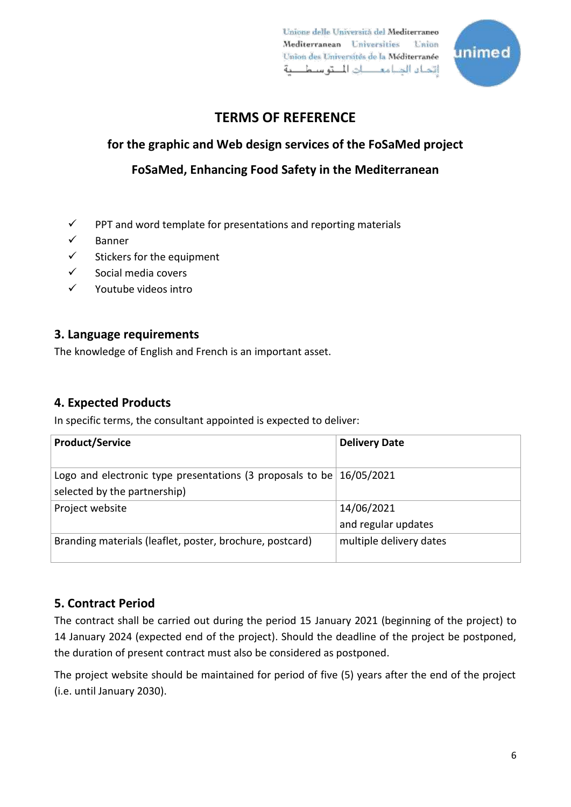Unione delle Università del Mediterraneo Mediterranean Universities **Union** Union des Universités de la Méditerranée اتحله الديامع حات المتوسط حة



# **TERMS OF REFERENCE**

# **for the graphic and Web design services of the FoSaMed project**

**FoSaMed, Enhancing Food Safety in the Mediterranean**

- $\checkmark$  PPT and word template for presentations and reporting materials
- $\checkmark$  Banner
- $\checkmark$  Stickers for the equipment
- $\checkmark$  Social media covers
- $\checkmark$  Youtube videos intro

### **3. Language requirements**

The knowledge of English and French is an important asset.

### **4. Expected Products**

In specific terms, the consultant appointed is expected to deliver:

| <b>Product/Service</b>                                                                                 | <b>Delivery Date</b>              |
|--------------------------------------------------------------------------------------------------------|-----------------------------------|
| Logo and electronic type presentations (3 proposals to be $16/05/2021$<br>selected by the partnership) |                                   |
| Project website                                                                                        | 14/06/2021<br>and regular updates |
| Branding materials (leaflet, poster, brochure, postcard)                                               | multiple delivery dates           |

## **5. Contract Period**

The contract shall be carried out during the period 15 January 2021 (beginning of the project) to 14 January 2024 (expected end of the project). Should the deadline of the project be postponed, the duration of present contract must also be considered as postponed.

The project website should be maintained for period of five (5) years after the end of the project (i.e. until January 2030).